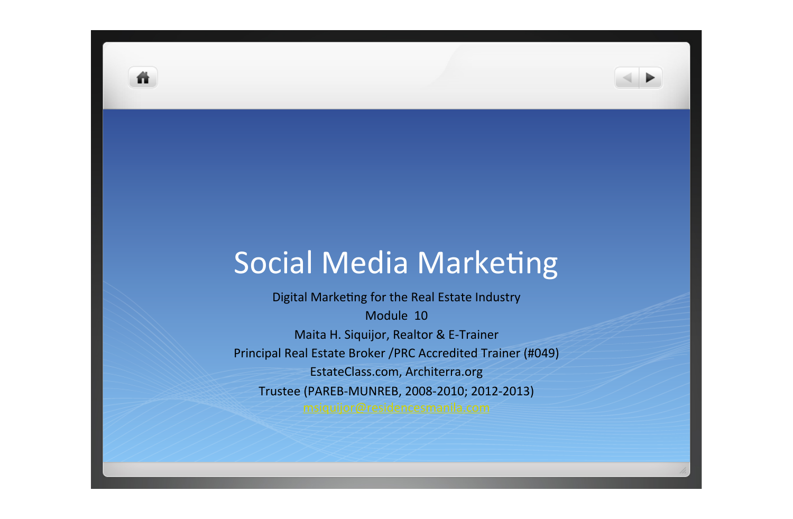# Social Media Marketing

Digital Marketing for the Real Estate Industry Module 10 Maita H. Siquijor, Realtor & E-Trainer Principal Real Estate Broker /PRC Accredited Trainer (#049) EstateClass.com, Architerra.org Trustee (PAREB-MUNREB, 2008-2010; 2012-2013)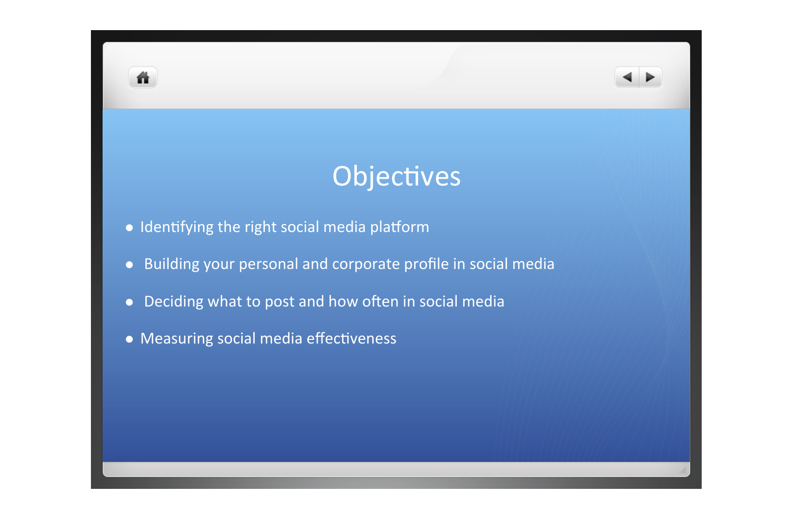## Objectives

· Identifying the right social media platform

m

- Building your personal and corporate profile in social media
- Deciding what to post and how often in social media  $\bullet$
- Measuring social media effectiveness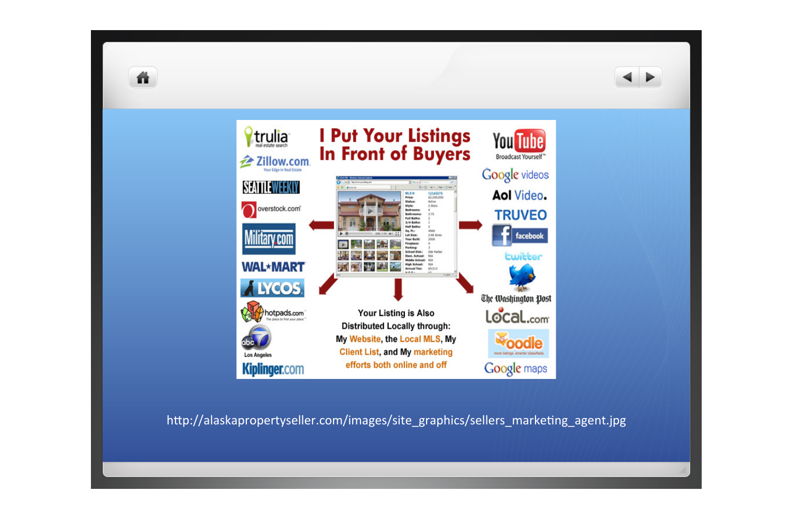

侖

http://alaskapropertyseller.com/images/site\_graphics/sellers\_marketing\_agent.jpg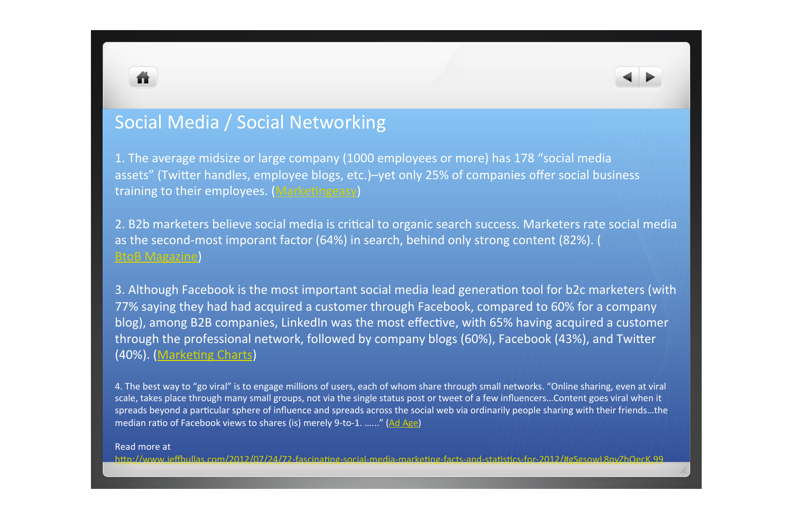#### Social Media / Social Networking

1. The average midsize or large company (1000 employees or more) has 178 "social media assets" (Twitter handles, employee blogs, etc.)-yet only 25% of companies offer social business training to their employees. (Marketingeasy)

2. B2b marketers believe social media is critical to organic search success. Marketers rate social media as the second-most imporant factor (64%) in search, behind only strong content (82%). ( toB Magazine

3. Although Facebook is the most important social media lead generation tool for b2c marketers (with 77% saying they had had acquired a customer through Facebook, compared to 60% for a company blog), among B2B companies, LinkedIn was the most effective, with 65% having acquired a customer through the professional network, followed by company blogs (60%), Facebook (43%), and Twitter (40%). (Marketing Charts)

4. The best way to "go viral" is to engage millions of users, each of whom share through small networks. "Online sharing, even at viral scale, takes place through many small groups, not via the single status post or tweet of a few influencers...Content goes viral when it spreads beyond a particular sphere of influence and spreads across the social web via ordinarily people sharing with their friends...the median ratio of Facebook views to shares (is) merely 9-to-1. ……" (Ad Age)

#### Read more at

h\_p://www.jenullas.com/2012/07/24/72-fascina-ng-social-media-marke-ng-facts-and-sta-s-cs-for-2012/#gSgsowL8pyZhQecK.99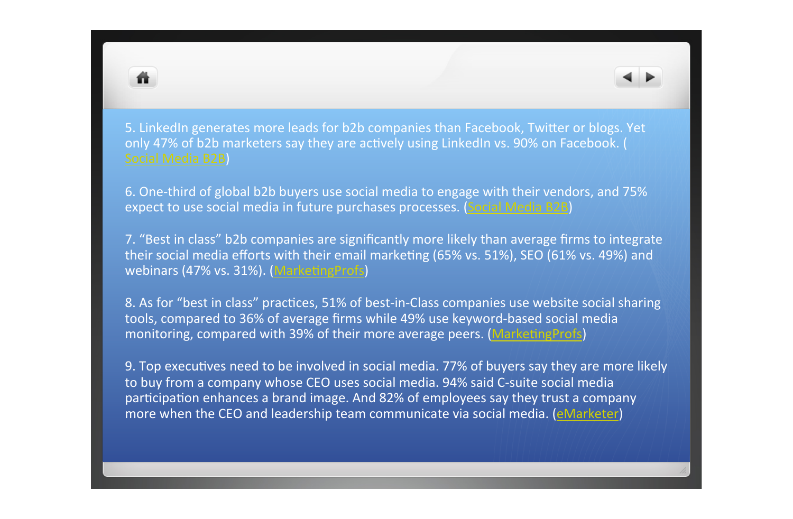

5. LinkedIn generates more leads for b2b companies than Facebook, Twitter or blogs. Yet only 47% of b2b marketers say they are actively using LinkedIn vs. 90% on Facebook. ( Social Media B2B)

6. One-third of global b2b buyers use social media to engage with their vendors, and 75% expect to use social media in future purchases processes. (Social Media B2B)

7. "Best in class" b2b companies are significantly more likely than average firms to integrate their social media efforts with their email marketing (65% vs. 51%), SEO (61% vs. 49%) and webinars (47% vs. 31%). (MarketingProfs)

8. As for "best in class" practices, 51% of best-in-Class companies use website social sharing tools, compared to 36% of average firms while 49% use keyword-based social media monitoring, compared with 39% of their more average peers. (MarketingProfs)

9. Top executives need to be involved in social media. 77% of buyers say they are more likely to buy from a company whose CEO uses social media. 94% said C-suite social media participation enhances a brand image. And 82% of employees say they trust a company more when the CEO and leadership team communicate via social media. (eMarketer)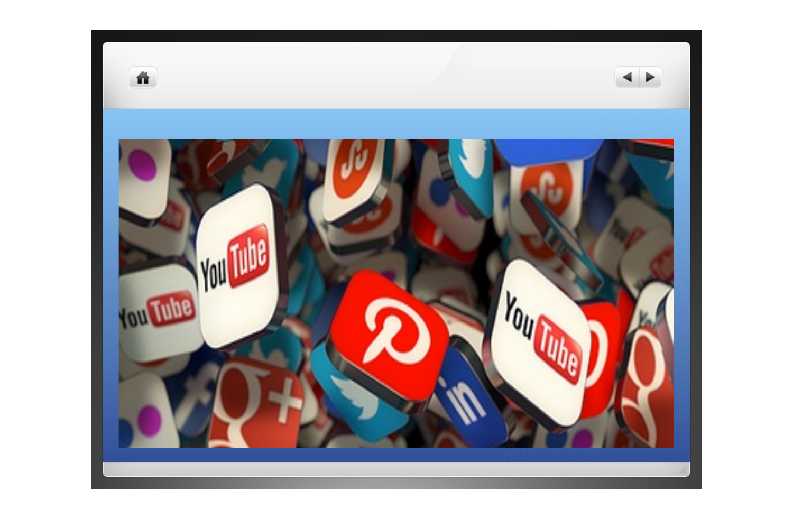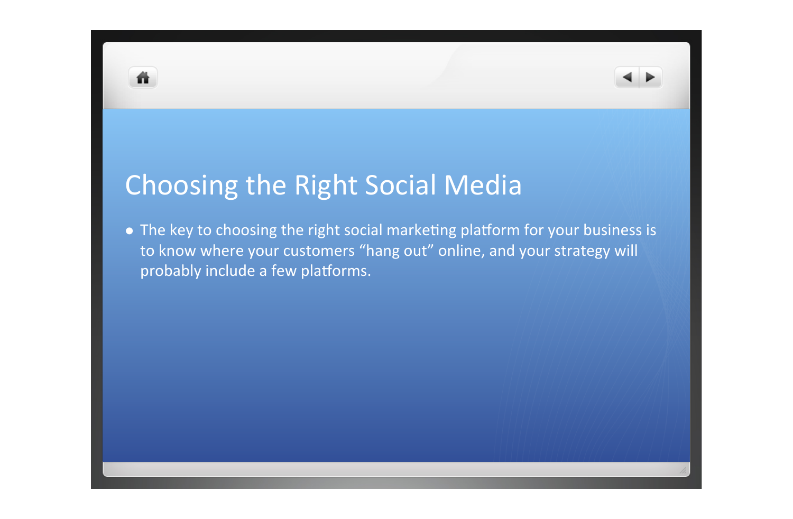## Choosing the Right Social Media

ñ

• The key to choosing the right social marketing platform for your business is to know where your customers "hang out" online, and your strategy will probably include a few platforms.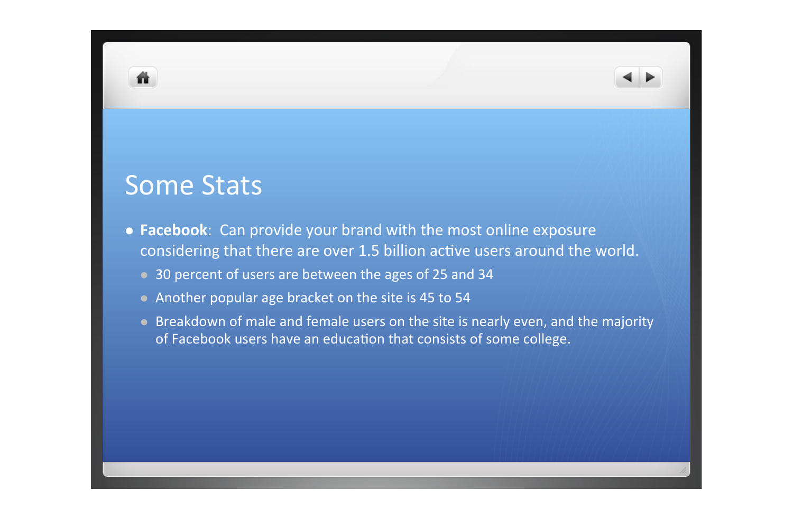#### **Some Stats**

- **Facebook**: Can provide your brand with the most online exposure considering that there are over 1.5 billion active users around the world.
	- 30 percent of users are between the ages of 25 and 34
	- Another popular age bracket on the site is 45 to 54
	- Breakdown of male and female users on the site is nearly even, and the majority of Facebook users have an education that consists of some college.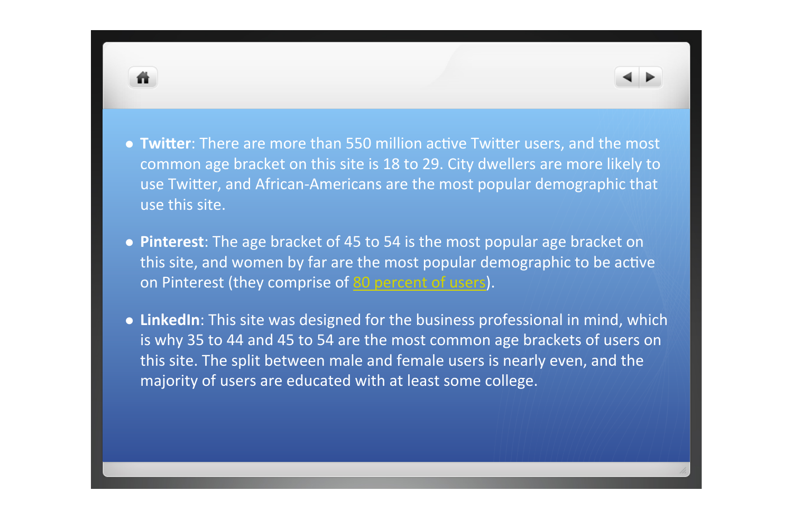- **Twitter**: There are more than 550 million active Twitter users, and the most common age bracket on this site is 18 to 29. City dwellers are more likely to use Twitter, and African-Americans are the most popular demographic that use this site.
- **Pinterest**: The age bracket of 45 to 54 is the most popular age bracket on this site, and women by far are the most popular demographic to be active on Pinterest (they comprise of 80 percent of users).
- LinkedIn: This site was designed for the business professional in mind, which is why 35 to 44 and 45 to 54 are the most common age brackets of users on this site. The split between male and female users is nearly even, and the majority of users are educated with at least some college.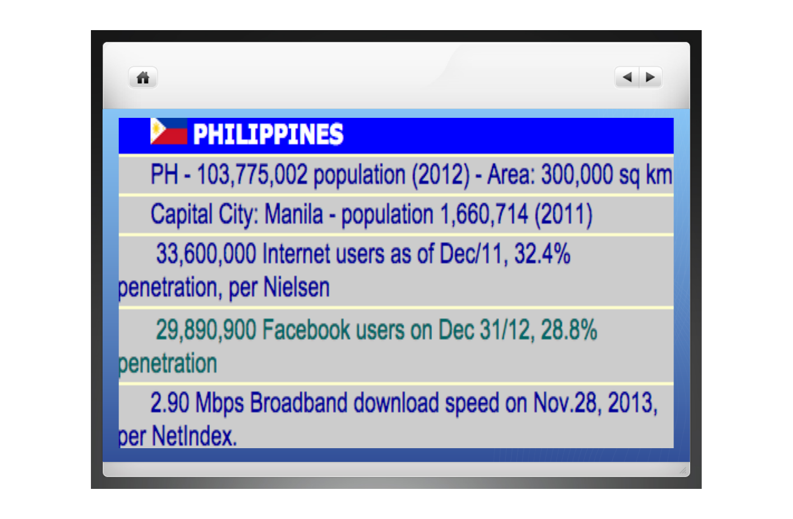# **P** PHILIPPINES

斗

PH - 103,775,002 population (2012) - Area: 300,000 sq km

Capital City: Manila - population 1,660,714 (2011)

33,600,000 Internet users as of Dec/11, 32.4% penetration, per Nielsen

29,890,900 Facebook users on Dec 31/12, 28.8% benetration

2.90 Mbps Broadband download speed on Nov.28, 2013, per NetIndex.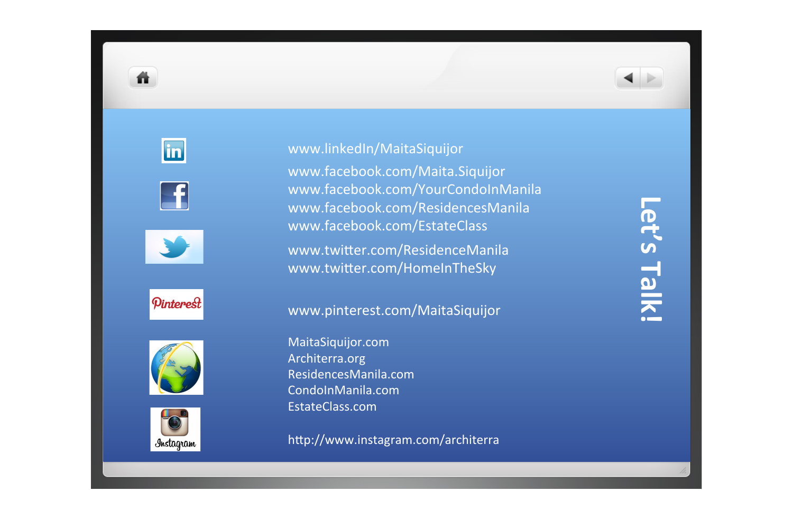

m











www.facebook.com /Maita.Siquijor www.facebook.com /YourCondoInManila www.facebook.com /ResidencesManila www.facebook.com /EstateClass www.linkedIn /MaitaSiquijor

www.twitter.com/ResidenceManila www.twitter.com/HomeInTheSky

#### www.pinterest.com /MaitaSiquijor

MaitaSiquijor.com Architerra.org ResidencesManila.com CondoInManila.com EstateClass.com

http://www.instagram.com/architerra

# **Let's Talk!**